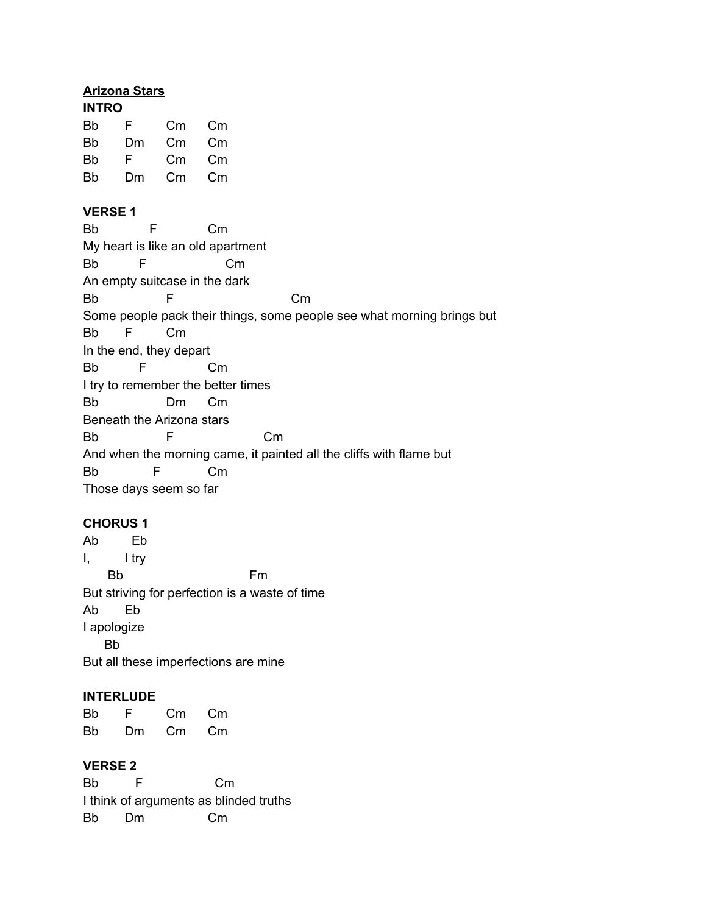# **Arizona Stars**

# **INTRO**

| F. | Сm | Сm |
|----|----|----|
| Dm | Сm | Cm |
| F. | Сm | Сm |
| Dm | Cm | Сm |
|    |    |    |

# **VERSE 1**

| <b>Bb</b>                                                              | F                             | $\mathsf{Cm}$ |    |    |  |
|------------------------------------------------------------------------|-------------------------------|---------------|----|----|--|
| My heart is like an old apartment                                      |                               |               |    |    |  |
| Bb                                                                     | F                             |               | Сm |    |  |
|                                                                        | An empty suitcase in the dark |               |    |    |  |
| Bb                                                                     | F                             |               |    | Сm |  |
| Some people pack their things, some people see what morning brings but |                               |               |    |    |  |
| Bb.                                                                    | F                             | $\mathsf{Cm}$ |    |    |  |
| In the end, they depart                                                |                               |               |    |    |  |
| Bb                                                                     | F                             | Сm            |    |    |  |
| I try to remember the better times                                     |                               |               |    |    |  |
| <b>Bb</b>                                                              |                               | Dm<br>Сm      |    |    |  |
|                                                                        | Beneath the Arizona stars     |               |    |    |  |
| Bb                                                                     | F                             |               | Сm |    |  |
| And when the morning came, it painted all the cliffs with flame but    |                               |               |    |    |  |
| Bb                                                                     | F                             | Cm            |    |    |  |
|                                                                        | Those days seem so far        |               |    |    |  |

# **CHORUS 1**

Ab Eb I, I try Bb Fm But striving for perfection is a waste of time Ab Eb I apologize Bb But all these imperfections are mine

# **INTERLUDE**

| <b>Bb</b> | F. | Сm | Cm |
|-----------|----|----|----|
| <b>Bb</b> | Dm | Сm | Cm |

## **VERSE 2**

Bb F Cm I think of arguments as blinded truths Bb Dm Cm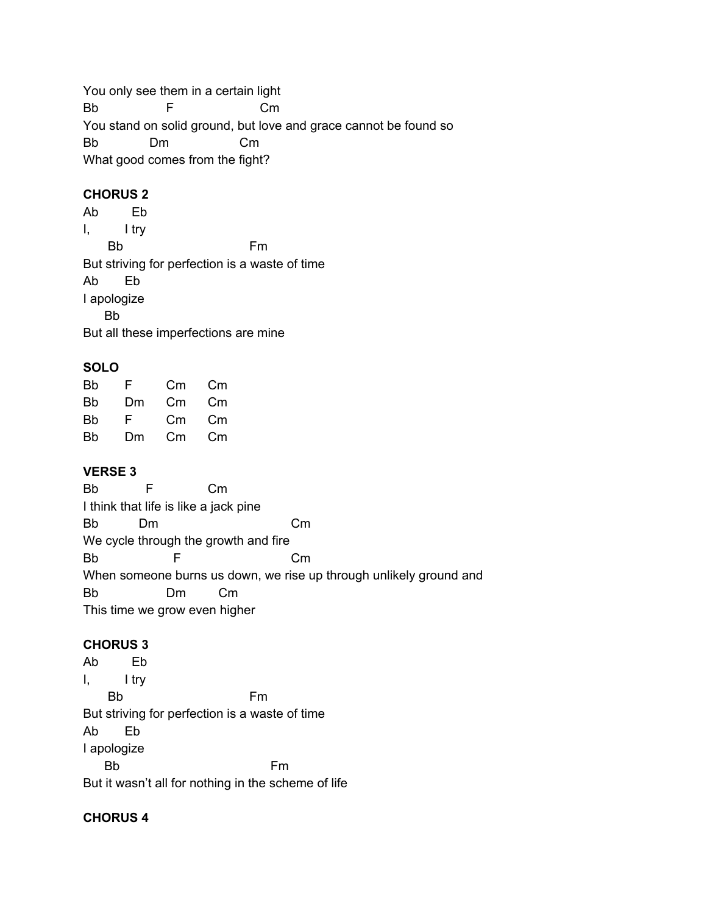You only see them in a certain light Bb F Cm You stand on solid ground, but love and grace cannot be found so Bb Dm Cm What good comes from the fight?

# **CHORUS 2**

Ab Eb I, I try Bb Fm But striving for perfection is a waste of time Ab Eb I apologize Bb But all these imperfections are mine

## **SOLO**

| Bb | F. | Сm | Сm |
|----|----|----|----|
| Bb | Dm | Сm | Сm |
| Bb | F  | Сm | Сm |
| Bb | Dm | Cm | Сm |

## **VERSE 3**

Bb F Cm I think that life is like a jack pine Bb Dm Cm We cycle through the growth and fire Bb F Cm When someone burns us down, we rise up through unlikely ground and Bb Dm Cm This time we grow even higher

## **CHORUS 3**

Ab Eb I, I try Bb Fm But striving for perfection is a waste of time Ab Eb I apologize Bb Fm But it wasn't all for nothing in the scheme of life

## **CHORUS 4**